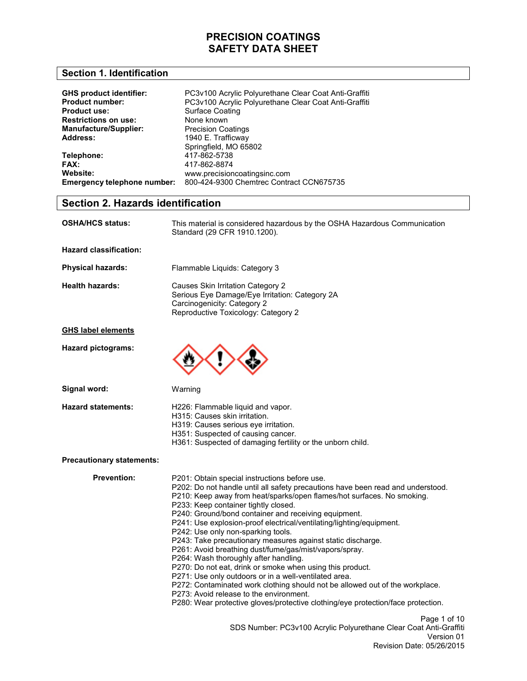#### **Section 1. Identification**

| <b>GHS product identifier:</b><br><b>Product number:</b> | PC3v100 Acrylic Polyurethane Clear Coat Anti-Graffiti |
|----------------------------------------------------------|-------------------------------------------------------|
|                                                          | PC3v100 Acrylic Polyurethane Clear Coat Anti-Graffiti |
| <b>Product use:</b>                                      | Surface Coating                                       |
| <b>Restrictions on use:</b>                              | None known                                            |
| <b>Manufacture/Supplier:</b>                             | <b>Precision Coatings</b>                             |
| <b>Address:</b>                                          | 1940 E. Trafficway                                    |
|                                                          | Springfield, MO 65802                                 |
| Telephone:                                               | 417-862-5738                                          |
| FAX:                                                     | 417-862-8874                                          |
| Website:                                                 | www.precisioncoatingsinc.com                          |
| Emergency telephone number:                              | 800-424-9300 Chemtrec Contract CCN675735              |

### **Section 2. Hazards identification**

| <b>OSHA/HCS status:</b>   | This material is considered hazardous by the OSHA Hazardous Communication<br>Standard (29 CFR 1910.1200).                                                 |
|---------------------------|-----------------------------------------------------------------------------------------------------------------------------------------------------------|
| Hazard classification:    |                                                                                                                                                           |
| <b>Physical hazards:</b>  | Flammable Liquids: Category 3                                                                                                                             |
| Health hazards:           | Causes Skin Irritation Category 2<br>Serious Eye Damage/Eye Irritation: Category 2A<br>Carcinogenicity: Category 2<br>Reproductive Toxicology: Category 2 |
| <b>GHS label elements</b> |                                                                                                                                                           |
| Hazard pictograms:        |                                                                                                                                                           |

**Signal word:** 

Warning

**Hazard statements:** 

- H226: Flammable liquid and vapor.
- H315: Causes skin irritation.
- H319: Causes serious eye irritation.
- H351: Suspected of causing cancer.
- H361: Suspected of damaging fertility or the unborn child.

#### **Precautionary statements:**

**Prevention:** 

Page 1 of 10 SDS Number: PC3v100 Acrylic Polyurethane Clear Coat Anti-Graffiti Version 01 Revision Date: 05/26/2015 P201: Obtain special instructions before use. P202: Do not handle until all safety precautions have been read and understood. P210: Keep away from heat/sparks/open flames/hot surfaces. No smoking. P233: Keep container tightly closed. P240: Ground/bond container and receiving equipment. P241: Use explosion-proof electrical/ventilating/lighting/equipment. P242: Use only non-sparking tools. P243: Take precautionary measures against static discharge. P261: Avoid breathing dust/fume/gas/mist/vapors/spray. P264: Wash thoroughly after handling. P270: Do not eat, drink or smoke when using this product. P271: Use only outdoors or in a well-ventilated area. P272: Contaminated work clothing should not be allowed out of the workplace. P273: Avoid release to the environment. P280: Wear protective gloves/protective clothing/eye protection/face protection.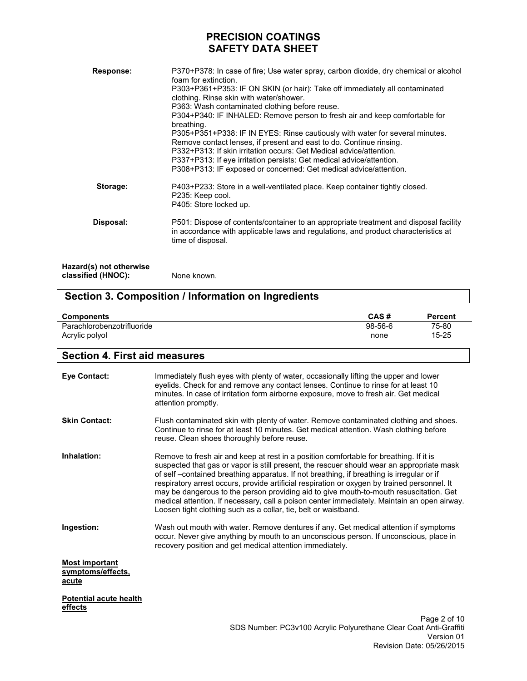| <b>Response:</b>                              | P370+P378: In case of fire; Use water spray, carbon dioxide, dry chemical or alcohol<br>foam for extinction.<br>P303+P361+P353: IF ON SKIN (or hair): Take off immediately all contaminated<br>clothing. Rinse skin with water/shower.<br>P363: Wash contaminated clothing before reuse.<br>P304+P340: IF INHALED: Remove person to fresh air and keep comfortable for<br>breathing.<br>P305+P351+P338: IF IN EYES: Rinse cautiously with water for several minutes.<br>Remove contact lenses, if present and east to do. Continue rinsing.<br>P332+P313: If skin irritation occurs: Get Medical advice/attention.<br>P337+P313: If eye irritation persists: Get medical advice/attention.<br>P308+P313: IF exposed or concerned: Get medical advice/attention. |
|-----------------------------------------------|-----------------------------------------------------------------------------------------------------------------------------------------------------------------------------------------------------------------------------------------------------------------------------------------------------------------------------------------------------------------------------------------------------------------------------------------------------------------------------------------------------------------------------------------------------------------------------------------------------------------------------------------------------------------------------------------------------------------------------------------------------------------|
| Storage:                                      | P403+P233: Store in a well-ventilated place. Keep container tightly closed.<br>P235: Keep cool.<br>P405: Store locked up.                                                                                                                                                                                                                                                                                                                                                                                                                                                                                                                                                                                                                                       |
| Disposal:                                     | P501: Dispose of contents/container to an appropriate treatment and disposal facility<br>in accordance with applicable laws and regulations, and product characteristics at<br>time of disposal.                                                                                                                                                                                                                                                                                                                                                                                                                                                                                                                                                                |
| Hazard(s) not otherwise<br>classified (HNOC): | None known.                                                                                                                                                                                                                                                                                                                                                                                                                                                                                                                                                                                                                                                                                                                                                     |

## **Section 3. Composition / Information on Ingredients**

| <b>Components</b>          | CAS#      | <b>Percent</b> |
|----------------------------|-----------|----------------|
| Parachlorobenzotrifluoride | $98-56-6$ | 75-80          |
| Acrylic polyol             | none      | $15 - 25$      |

### **Section 4. First aid measures**

| <b>Eye Contact:</b>                                 | Immediately flush eyes with plenty of water, occasionally lifting the upper and lower<br>eyelids. Check for and remove any contact lenses. Continue to rinse for at least 10<br>minutes. In case of irritation form airborne exposure, move to fresh air. Get medical<br>attention promptly.                                                                                                                                                                                                                                                                                                                                                  |
|-----------------------------------------------------|-----------------------------------------------------------------------------------------------------------------------------------------------------------------------------------------------------------------------------------------------------------------------------------------------------------------------------------------------------------------------------------------------------------------------------------------------------------------------------------------------------------------------------------------------------------------------------------------------------------------------------------------------|
| <b>Skin Contact:</b>                                | Flush contaminated skin with plenty of water. Remove contaminated clothing and shoes.<br>Continue to rinse for at least 10 minutes. Get medical attention. Wash clothing before<br>reuse. Clean shoes thoroughly before reuse.                                                                                                                                                                                                                                                                                                                                                                                                                |
| Inhalation:                                         | Remove to fresh air and keep at rest in a position comfortable for breathing. If it is<br>suspected that gas or vapor is still present, the rescuer should wear an appropriate mask<br>of self – contained breathing apparatus. If not breathing, if breathing is irregular or if<br>respiratory arrest occurs, provide artificial respiration or oxygen by trained personnel. It<br>may be dangerous to the person providing aid to give mouth-to-mouth resuscitation. Get<br>medical attention. If necessary, call a poison center immediately. Maintain an open airway.<br>Loosen tight clothing such as a collar, tie, belt or waistband. |
| Ingestion:                                          | Wash out mouth with water. Remove dentures if any. Get medical attention if symptoms<br>occur. Never give anything by mouth to an unconscious person. If unconscious, place in<br>recovery position and get medical attention immediately.                                                                                                                                                                                                                                                                                                                                                                                                    |
| <b>Most important</b><br>symptoms/effects,<br>acute |                                                                                                                                                                                                                                                                                                                                                                                                                                                                                                                                                                                                                                               |
| <b>Potential acute health</b><br>effects            |                                                                                                                                                                                                                                                                                                                                                                                                                                                                                                                                                                                                                                               |
|                                                     | Page 2 of 10<br>CDC Number: DC3v400 Aendie Delvurethane Clear Coot Apti Craffiti                                                                                                                                                                                                                                                                                                                                                                                                                                                                                                                                                              |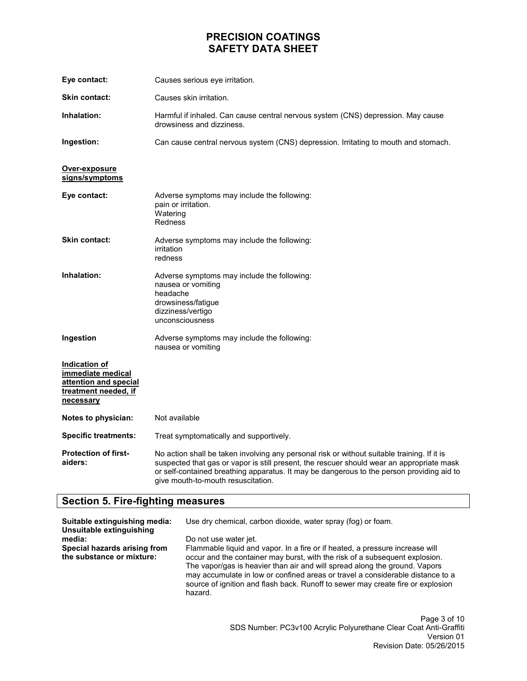| Eye contact:                                                                                     | Causes serious eye irritation.                                                                                                                                                                                                                                                                                              |
|--------------------------------------------------------------------------------------------------|-----------------------------------------------------------------------------------------------------------------------------------------------------------------------------------------------------------------------------------------------------------------------------------------------------------------------------|
| <b>Skin contact:</b>                                                                             | Causes skin irritation.                                                                                                                                                                                                                                                                                                     |
| Inhalation:                                                                                      | Harmful if inhaled. Can cause central nervous system (CNS) depression. May cause<br>drowsiness and dizziness.                                                                                                                                                                                                               |
| Ingestion:                                                                                       | Can cause central nervous system (CNS) depression. Irritating to mouth and stomach.                                                                                                                                                                                                                                         |
| Over-exposure<br>signs/symptoms                                                                  |                                                                                                                                                                                                                                                                                                                             |
| Eye contact:                                                                                     | Adverse symptoms may include the following:<br>pain or irritation.<br>Watering<br>Redness                                                                                                                                                                                                                                   |
| Skin contact:                                                                                    | Adverse symptoms may include the following:<br>irritation<br>redness                                                                                                                                                                                                                                                        |
| Inhalation:                                                                                      | Adverse symptoms may include the following:<br>nausea or vomiting<br>headache<br>drowsiness/fatigue<br>dizziness/vertigo<br>unconsciousness                                                                                                                                                                                 |
| Ingestion                                                                                        | Adverse symptoms may include the following:<br>nausea or vomiting                                                                                                                                                                                                                                                           |
| Indication of<br>immediate medical<br>attention and special<br>treatment needed, if<br>necessary |                                                                                                                                                                                                                                                                                                                             |
| Notes to physician:                                                                              | Not available                                                                                                                                                                                                                                                                                                               |
| <b>Specific treatments:</b>                                                                      | Treat symptomatically and supportively.                                                                                                                                                                                                                                                                                     |
| <b>Protection of first-</b><br>aiders:                                                           | No action shall be taken involving any personal risk or without suitable training. If it is<br>suspected that gas or vapor is still present, the rescuer should wear an appropriate mask<br>or self-contained breathing apparatus. It may be dangerous to the person providing aid to<br>give mouth-to-mouth resuscitation. |

## **Section 5. Fire-fighting measures**

| Suitable extinguishing media:<br>Unsuitable extinguishing<br>media:<br>Special hazards arising from | Use dry chemical, carbon dioxide, water spray (fog) or foam.<br>Do not use water jet.<br>Flammable liquid and vapor. In a fire or if heated, a pressure increase will                                                                                                                                                                     |
|-----------------------------------------------------------------------------------------------------|-------------------------------------------------------------------------------------------------------------------------------------------------------------------------------------------------------------------------------------------------------------------------------------------------------------------------------------------|
| the substance or mixture:                                                                           | occur and the container may burst, with the risk of a subsequent explosion.<br>The vapor/gas is heavier than air and will spread along the ground. Vapors<br>may accumulate in low or confined areas or travel a considerable distance to a<br>source of ignition and flash back. Runoff to sewer may create fire or explosion<br>hazard. |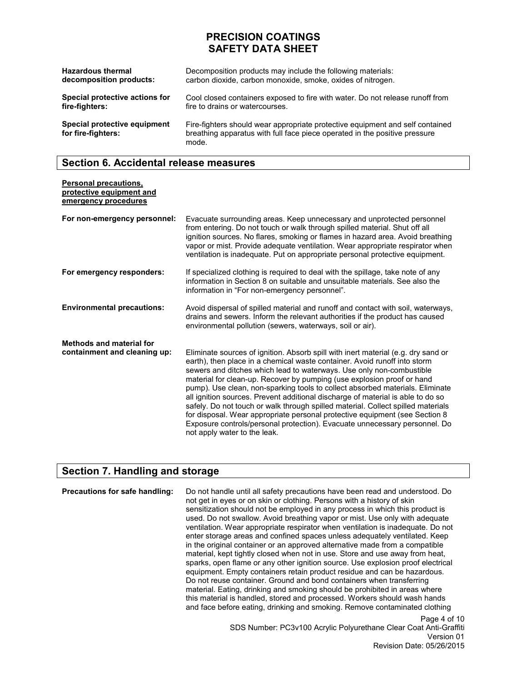| <b>Hazardous thermal</b>                           | Decomposition products may include the following materials:                                                                                                          |
|----------------------------------------------------|----------------------------------------------------------------------------------------------------------------------------------------------------------------------|
| decomposition products:                            | carbon dioxide, carbon monoxide, smoke, oxides of nitrogen.                                                                                                          |
| Special protective actions for                     | Cool closed containers exposed to fire with water. Do not release runoff from                                                                                        |
| fire-fighters:                                     | fire to drains or watercourses.                                                                                                                                      |
| Special protective equipment<br>for fire-fighters: | Fire-fighters should wear appropriate protective equipment and self contained<br>breathing apparatus with full face piece operated in the positive pressure<br>mode. |

### **Section 6. Accidental release measures**

**Personal precautions,** 

| protective equipment and<br>emergency procedures                |                                                                                                                                                                                                                                                                                                                                                                                                                                                                                                                                                                                                                                                                                                                                                                       |
|-----------------------------------------------------------------|-----------------------------------------------------------------------------------------------------------------------------------------------------------------------------------------------------------------------------------------------------------------------------------------------------------------------------------------------------------------------------------------------------------------------------------------------------------------------------------------------------------------------------------------------------------------------------------------------------------------------------------------------------------------------------------------------------------------------------------------------------------------------|
| For non-emergency personnel:                                    | Evacuate surrounding areas. Keep unnecessary and unprotected personnel<br>from entering. Do not touch or walk through spilled material. Shut off all<br>ignition sources. No flares, smoking or flames in hazard area. Avoid breathing<br>vapor or mist. Provide adequate ventilation. Wear appropriate respirator when<br>ventilation is inadequate. Put on appropriate personal protective equipment.                                                                                                                                                                                                                                                                                                                                                               |
| For emergency responders:                                       | If specialized clothing is required to deal with the spillage, take note of any<br>information in Section 8 on suitable and unsuitable materials. See also the<br>information in "For non-emergency personnel".                                                                                                                                                                                                                                                                                                                                                                                                                                                                                                                                                       |
| <b>Environmental precautions:</b>                               | Avoid dispersal of spilled material and runoff and contact with soil, waterways,<br>drains and sewers. Inform the relevant authorities if the product has caused<br>environmental pollution (sewers, waterways, soil or air).                                                                                                                                                                                                                                                                                                                                                                                                                                                                                                                                         |
| <b>Methods and material for</b><br>containment and cleaning up: | Eliminate sources of ignition. Absorb spill with inert material (e.g. dry sand or<br>earth), then place in a chemical waste container. Avoid runoff into storm<br>sewers and ditches which lead to waterways. Use only non-combustible<br>material for clean-up. Recover by pumping (use explosion proof or hand<br>pump). Use clean, non-sparking tools to collect absorbed materials. Eliminate<br>all ignition sources. Prevent additional discharge of material is able to do so<br>safely. Do not touch or walk through spilled material. Collect spilled materials<br>for disposal. Wear appropriate personal protective equipment (see Section 8<br>Exposure controls/personal protection). Evacuate unnecessary personnel. Do<br>not apply water to the leak. |

### **Section 7. Handling and storage**

Page 4 of 10 **Precautions for safe handling:** Do not handle until all safety precautions have been read and understood. Do not get in eyes or on skin or clothing. Persons with a history of skin sensitization should not be employed in any process in which this product is used. Do not swallow. Avoid breathing vapor or mist. Use only with adequate ventilation. Wear appropriate respirator when ventilation is inadequate. Do not enter storage areas and confined spaces unless adequately ventilated. Keep in the original container or an approved alternative made from a compatible material, kept tightly closed when not in use. Store and use away from heat, sparks, open flame or any other ignition source. Use explosion proof electrical equipment. Empty containers retain product residue and can be hazardous. Do not reuse container. Ground and bond containers when transferring material. Eating, drinking and smoking should be prohibited in areas where this material is handled, stored and processed. Workers should wash hands and face before eating, drinking and smoking. Remove contaminated clothing

SDS Number: PC3v100 Acrylic Polyurethane Clear Coat Anti-Graffiti Version 01 Revision Date: 05/26/2015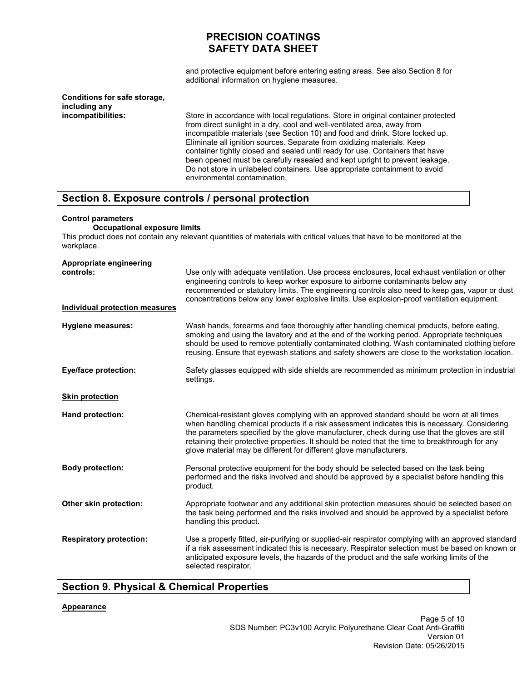and protective equipment before entering eating areas. See also Section 8 for additional information on hygiene measures.

#### **Conditions for safe storage, including any incompatibilities:**

Store in accordance with local regulations. Store in original container protected from direct sunlight in a dry, cool and well-ventilated area, away from incompatible materials (see Section 10) and food and drink. Store locked up. Eliminate all ignition sources. Separate from oxidizing materials. Keep container tightly closed and sealed until ready for use. Containers that have been opened must be carefully resealed and kept upright to prevent leakage. Do not store in unlabeled containers. Use appropriate containment to avoid environmental contamination.

### **Section 8. Exposure controls / personal protection**

#### **Control parameters**

#### **Occupational exposure limits**

This product does not contain any relevant quantities of materials with critical values that have to be monitored at the workplace.

| Appropriate engineering<br>controls:<br><b>Individual protection measures</b> | Use only with adequate ventilation. Use process enclosures, local exhaust ventilation or other<br>engineering controls to keep worker exposure to airborne contaminants below any<br>recommended or statutory limits. The engineering controls also need to keep gas, vapor or dust<br>concentrations below any lower explosive limits. Use explosion-proof ventilation equipment.                                                                                    |
|-------------------------------------------------------------------------------|-----------------------------------------------------------------------------------------------------------------------------------------------------------------------------------------------------------------------------------------------------------------------------------------------------------------------------------------------------------------------------------------------------------------------------------------------------------------------|
| <b>Hygiene measures:</b>                                                      | Wash hands, forearms and face thoroughly after handling chemical products, before eating,<br>smoking and using the lavatory and at the end of the working period. Appropriate techniques<br>should be used to remove potentially contaminated clothing. Wash contaminated clothing before<br>reusing. Ensure that eyewash stations and safety showers are close to the workstation location.                                                                          |
| Eye/face protection:                                                          | Safety glasses equipped with side shields are recommended as minimum protection in industrial<br>settings.                                                                                                                                                                                                                                                                                                                                                            |
| <b>Skin protection</b>                                                        |                                                                                                                                                                                                                                                                                                                                                                                                                                                                       |
| Hand protection:                                                              | Chemical-resistant gloves complying with an approved standard should be worn at all times<br>when handling chemical products if a risk assessment indicates this is necessary. Considering<br>the parameters specified by the glove manufacturer, check during use that the gloves are still<br>retaining their protective properties. It should be noted that the time to breakthrough for any<br>glove material may be different for different glove manufacturers. |
| <b>Body protection:</b>                                                       | Personal protective equipment for the body should be selected based on the task being<br>performed and the risks involved and should be approved by a specialist before handling this<br>product.                                                                                                                                                                                                                                                                     |
| Other skin protection:                                                        | Appropriate footwear and any additional skin protection measures should be selected based on<br>the task being performed and the risks involved and should be approved by a specialist before<br>handling this product.                                                                                                                                                                                                                                               |
| <b>Respiratory protection:</b>                                                | Use a properly fitted, air-purifying or supplied-air respirator complying with an approved standard<br>if a risk assessment indicated this is necessary. Respirator selection must be based on known or<br>anticipated exposure levels, the hazards of the product and the safe working limits of the<br>selected respirator.                                                                                                                                         |

### **Section 9. Physical & Chemical Properties**

#### **Appearance**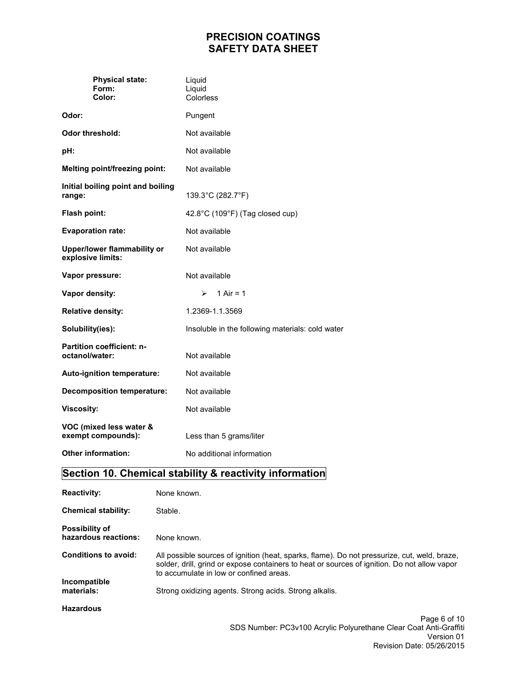| <b>Physical state:</b><br>Form:<br>Color:          | Liquid<br>Liquid<br>Colorless                    |
|----------------------------------------------------|--------------------------------------------------|
| Odor:                                              | Pungent                                          |
| <b>Odor threshold:</b>                             | Not available                                    |
| pH:                                                | Not available                                    |
| <b>Melting point/freezing point:</b>               | Not available                                    |
| Initial boiling point and boiling<br>range:        | 139.3°C (282.7°F)                                |
| Flash point:                                       | 42.8°C (109°F) (Tag closed cup)                  |
| <b>Evaporation rate:</b>                           | Not available                                    |
| Upper/lower flammability or<br>explosive limits:   | Not available                                    |
| Vapor pressure:                                    | Not available                                    |
| Vapor density:                                     | $\blacktriangleright$<br>$1$ Air = 1             |
| <b>Relative density:</b>                           | 1.2369-1.1.3569                                  |
| Solubility(ies):                                   | Insoluble in the following materials: cold water |
| <b>Partition coefficient: n-</b><br>octanol/water: | Not available                                    |
| Auto-ignition temperature:                         | Not available                                    |
| <b>Decomposition temperature:</b>                  | Not available                                    |
| <b>Viscosity:</b>                                  | Not available                                    |
| VOC (mixed less water &<br>exempt compounds):      | Less than 5 grams/liter                          |
| <b>Other information:</b>                          | No additional information                        |

## **Section 10. Chemical stability & reactivity information**

| <b>Reactivity:</b>                            | None known.                                                                                                                                                                                                                             |
|-----------------------------------------------|-----------------------------------------------------------------------------------------------------------------------------------------------------------------------------------------------------------------------------------------|
| <b>Chemical stability:</b>                    | Stable.                                                                                                                                                                                                                                 |
| <b>Possibility of</b><br>hazardous reactions: | None known.                                                                                                                                                                                                                             |
| <b>Conditions to avoid:</b>                   | All possible sources of ignition (heat, sparks, flame). Do not pressurize, cut, weld, braze,<br>solder, drill, grind or expose containers to heat or sources of ignition. Do not allow vapor<br>to accumulate in low or confined areas. |
| Incompatible<br>materials:                    | Strong oxidizing agents. Strong acids. Strong alkalis.                                                                                                                                                                                  |
| <b>Hazardous</b>                              |                                                                                                                                                                                                                                         |
|                                               | Page 6 of 10                                                                                                                                                                                                                            |
|                                               | SDS Number: PC3v100 Acrylic Polyurethane Clear Coat Anti-Graffiti                                                                                                                                                                       |

Version 01

Revision Date: 05/26/2015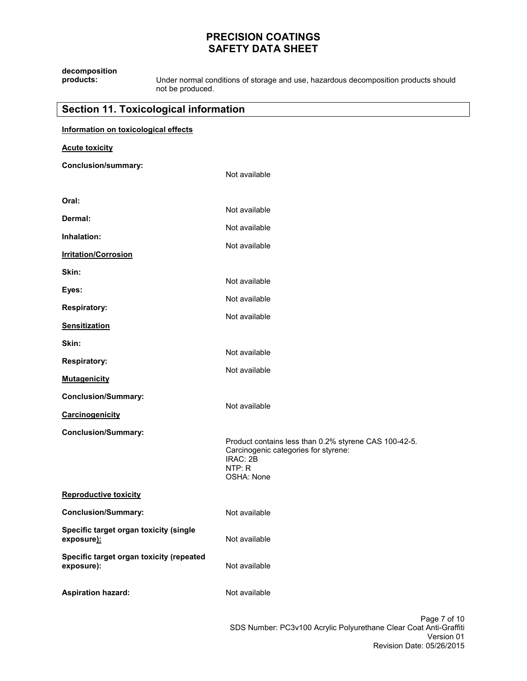| decomposition<br>products:                             | Under normal conditions of storage and use, hazardous decomposition products should<br>not be produced.                           |
|--------------------------------------------------------|-----------------------------------------------------------------------------------------------------------------------------------|
| <b>Section 11. Toxicological information</b>           |                                                                                                                                   |
| Information on toxicological effects                   |                                                                                                                                   |
| <b>Acute toxicity</b>                                  |                                                                                                                                   |
| <b>Conclusion/summary:</b>                             | Not available                                                                                                                     |
| Oral:                                                  |                                                                                                                                   |
| Dermal:                                                | Not available                                                                                                                     |
| Inhalation:                                            | Not available                                                                                                                     |
| <b>Irritation/Corrosion</b>                            | Not available                                                                                                                     |
| Skin:                                                  |                                                                                                                                   |
| Eyes:                                                  | Not available                                                                                                                     |
| <b>Respiratory:</b>                                    | Not available                                                                                                                     |
| <b>Sensitization</b>                                   | Not available                                                                                                                     |
| Skin:                                                  |                                                                                                                                   |
| <b>Respiratory:</b>                                    | Not available                                                                                                                     |
| <b>Mutagenicity</b>                                    | Not available                                                                                                                     |
| <b>Conclusion/Summary:</b>                             |                                                                                                                                   |
| Carcinogenicity                                        | Not available                                                                                                                     |
| <b>Conclusion/Summary:</b>                             | Product contains less than 0.2% styrene CAS 100-42-5.<br>Carcinogenic categories for styrene:<br>IRAC: 2B<br>NTP: R<br>OSHA: None |
| <b>Reproductive toxicity</b>                           |                                                                                                                                   |
| <b>Conclusion/Summary:</b>                             | Not available                                                                                                                     |
| Specific target organ toxicity (single<br>exposure):   | Not available                                                                                                                     |
| Specific target organ toxicity (repeated<br>exposure): | Not available                                                                                                                     |
| <b>Aspiration hazard:</b>                              | Not available                                                                                                                     |
|                                                        | Page 7 of                                                                                                                         |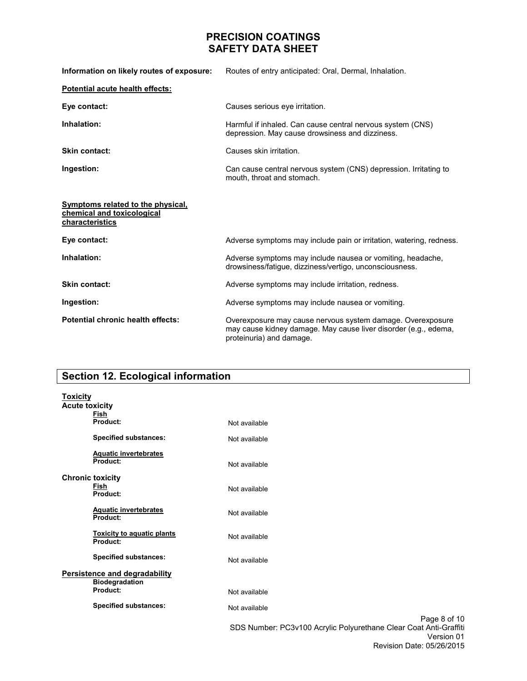| Information on likely routes of exposure:                                          | Routes of entry anticipated: Oral, Dermal, Inhalation.                                                                                                    |
|------------------------------------------------------------------------------------|-----------------------------------------------------------------------------------------------------------------------------------------------------------|
| Potential acute health effects:                                                    |                                                                                                                                                           |
| Eye contact:                                                                       | Causes serious eye irritation.                                                                                                                            |
| Inhalation:                                                                        | Harmful if inhaled. Can cause central nervous system (CNS)<br>depression. May cause drowsiness and dizziness.                                             |
| <b>Skin contact:</b>                                                               | Causes skin irritation.                                                                                                                                   |
| Ingestion:                                                                         | Can cause central nervous system (CNS) depression. Irritating to<br>mouth, throat and stomach.                                                            |
| Symptoms related to the physical,<br>chemical and toxicological<br>characteristics |                                                                                                                                                           |
| Eye contact:                                                                       | Adverse symptoms may include pain or irritation, watering, redness.                                                                                       |
| Inhalation:                                                                        | Adverse symptoms may include nausea or vomiting, headache,<br>drowsiness/fatigue, dizziness/vertigo, unconsciousness.                                     |
| <b>Skin contact:</b>                                                               | Adverse symptoms may include irritation, redness.                                                                                                         |
| Ingestion:                                                                         | Adverse symptoms may include nausea or vomiting.                                                                                                          |
| Potential chronic health effects:                                                  | Overexposure may cause nervous system damage. Overexposure<br>may cause kidney damage. May cause liver disorder (e.g., edema,<br>proteinuria) and damage. |

# **Section 12. Ecological information**

| <b>Toxicity</b>       |                                               |                                                                                                                              |
|-----------------------|-----------------------------------------------|------------------------------------------------------------------------------------------------------------------------------|
| <b>Acute toxicity</b> |                                               |                                                                                                                              |
|                       | <b>Fish</b><br>Product:                       | Not available                                                                                                                |
|                       | <b>Specified substances:</b>                  | Not available                                                                                                                |
|                       | <b>Aquatic invertebrates</b><br>Product:      | Not available                                                                                                                |
|                       | <b>Chronic toxicity</b><br>Fish<br>Product:   | Not available                                                                                                                |
|                       | <b>Aquatic invertebrates</b><br>Product:      | Not available                                                                                                                |
|                       | <b>Toxicity to aquatic plants</b><br>Product: | Not available                                                                                                                |
|                       | <b>Specified substances:</b>                  | Not available                                                                                                                |
|                       | Persistence and degradability                 |                                                                                                                              |
|                       | <b>Biodegradation</b><br>Product:             | Not available                                                                                                                |
|                       | <b>Specified substances:</b>                  | Not available                                                                                                                |
|                       |                                               | Page 8 of 10<br>SDS Number: PC3v100 Acrylic Polyurethane Clear Coat Anti-Graffiti<br>Version 01<br>Revision Date: 05/26/2015 |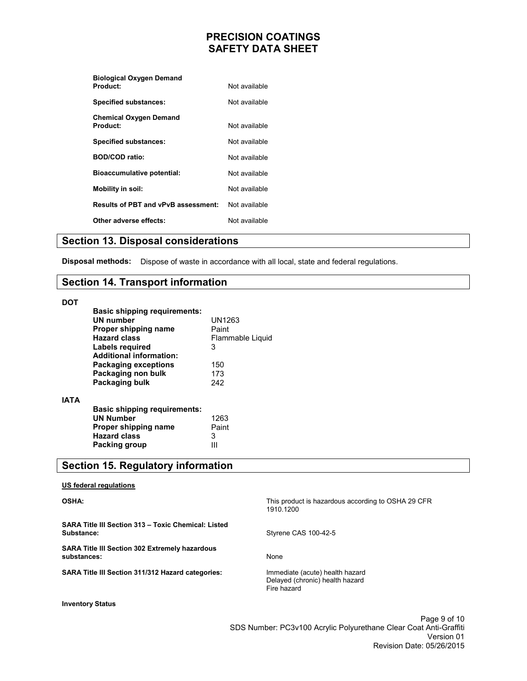| <b>Biological Oxygen Demand</b>            |               |
|--------------------------------------------|---------------|
| Product:                                   | Not available |
| <b>Specified substances:</b>               | Not available |
| <b>Chemical Oxygen Demand</b>              |               |
| Product:                                   | Not available |
| <b>Specified substances:</b>               | Not available |
| <b>BOD/COD ratio:</b>                      | Not available |
| <b>Bioaccumulative potential:</b>          | Not available |
| Mobility in soil:                          | Not available |
| <b>Results of PBT and vPvB assessment:</b> | Not available |
| Other adverse effects:                     | Not available |
|                                            |               |

### **Section 13. Disposal considerations**

**Disposal methods:** Dispose of waste in accordance with all local, state and federal regulations.

### **Section 14. Transport information**

#### **DOT**

**IATA** 

| <b>Basic shipping requirements:</b> |                  |
|-------------------------------------|------------------|
| <b>UN number</b>                    | UN1263           |
| Proper shipping name                | Paint            |
| <b>Hazard class</b>                 | Flammable Liquid |
| Labels required                     | 3                |
| <b>Additional information:</b>      |                  |
| <b>Packaging exceptions</b>         | 150              |
| Packaging non bulk                  | 173              |
| Packaging bulk                      | 242              |
|                                     |                  |
| <b>Basic shipping requirements:</b> |                  |
| <b>UN Number</b>                    | 1263             |
| Proper shipping name                | Paint            |
| <b>Hazard class</b>                 | 3                |
| Packing group                       |                  |

### **Section 15. Regulatory information**

| US federal regulations                                               |                                                                                   |
|----------------------------------------------------------------------|-----------------------------------------------------------------------------------|
| <b>OSHA:</b>                                                         | This product is hazardous according to OSHA 29 CFR<br>1910.1200                   |
| SARA Title III Section 313 - Toxic Chemical: Listed<br>Substance:    | Styrene CAS 100-42-5                                                              |
| <b>SARA Title III Section 302 Extremely hazardous</b><br>substances: | None                                                                              |
| <b>SARA Title III Section 311/312 Hazard categories:</b>             | Immediate (acute) health hazard<br>Delayed (chronic) health hazard<br>Fire hazard |
| <b>Inventory Status</b>                                              |                                                                                   |

Page 9 of 10 SDS Number: PC3v100 Acrylic Polyurethane Clear Coat Anti-Graffiti Version 01 Revision Date: 05/26/2015